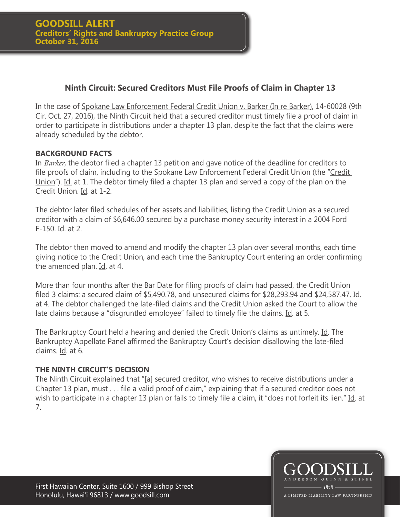# **Ninth Circuit: Secured Creditors Must File Proofs of Claim in Chapter 13**

In the case of Spokane Law Enforcement Federal Credit Union v. Barker (In re Barker), 14-60028 (9th Cir. Oct. 27, 2016), the Ninth Circuit held that a secured creditor must timely file a proof of claim in order to participate in distributions under a chapter 13 plan, despite the fact that the claims were already scheduled by the debtor.

# **BACKGROUND FACTS**

In *Barker*, the debtor filed a chapter 13 petition and gave notice of the deadline for creditors to file proofs of claim, including to the Spokane Law Enforcement Federal Credit Union (the "Credit Union"). Id. at 1. The debtor timely filed a chapter 13 plan and served a copy of the plan on the Credit Union. Id. at 1-2.

The debtor later filed schedules of her assets and liabilities, listing the Credit Union as a secured creditor with a claim of \$6,646.00 secured by a purchase money security interest in a 2004 Ford F-150. Id. at 2.

The debtor then moved to amend and modify the chapter 13 plan over several months, each time giving notice to the Credit Union, and each time the Bankruptcy Court entering an order confirming the amended plan. Id. at 4.

More than four months after the Bar Date for filing proofs of claim had passed, the Credit Union filed 3 claims: a secured claim of \$5,490.78, and unsecured claims for \$28,293.94 and \$24,587.47. Id. at 4. The debtor challenged the late-filed claims and the Credit Union asked the Court to allow the late claims because a "disgruntled employee" failed to timely file the claims. Id. at 5.

The Bankruptcy Court held a hearing and denied the Credit Union's claims as untimely. Id. The Bankruptcy Appellate Panel affirmed the Bankruptcy Court's decision disallowing the late-filed claims. Id. at 6.

# **THE NINTH CIRCUIT'S DECISION**

The Ninth Circuit explained that "[a] secured creditor, who wishes to receive distributions under a Chapter 13 plan, must . . . file a valid proof of claim," explaining that if a secured creditor does not wish to participate in a chapter 13 plan or fails to timely file a claim, it "does not forfeit its lien." Id. at 7.

First Hawaiian Center, Suite 1600 / 999 Bishop Street Honolulu, Hawai'i 96813 / www.goodsill.com

1878 A LIMITED LIABILITY LAW PARTNERSHIP